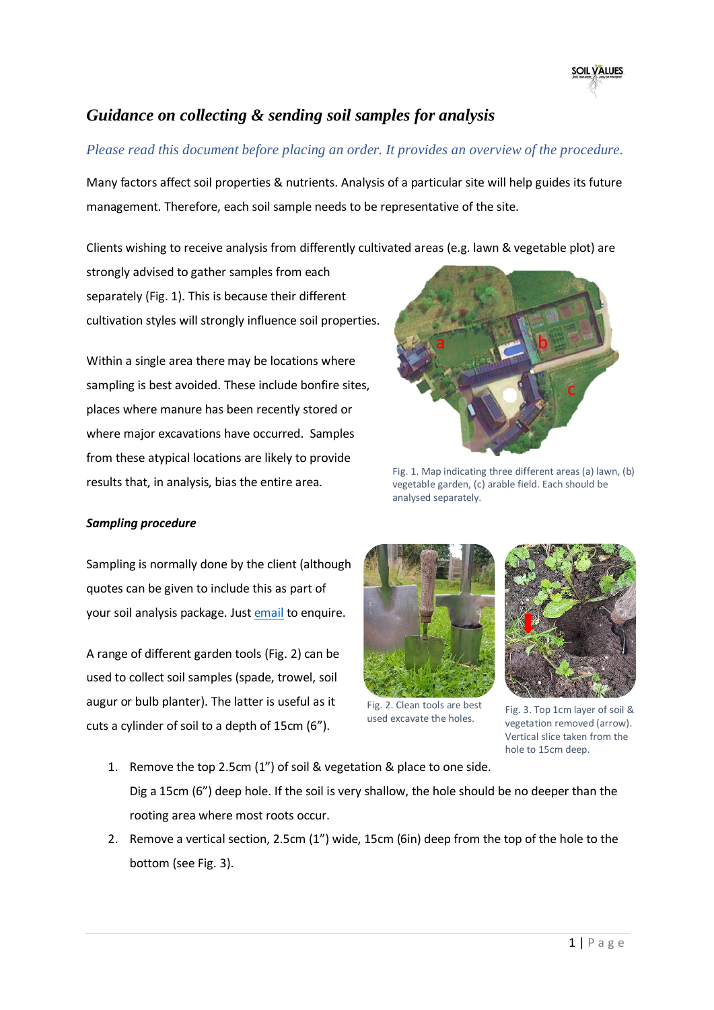

## *Guidance on collecting & sending soil samples for analysis*

## *Please read this document before placing an order. It provides an overview of the procedure.*

Many factors affect soil properties & nutrients. Analysis of a particular site will help guides its future management. Therefore, each soil sample needs to be representative of the site.

Clients wishing to receive analysis from differently cultivated areas (e.g. lawn & vegetable plot) are

strongly advised to gather samples from each separately (Fig. 1). This is because their different cultivation styles will strongly influence soil properties.

Within a single area there may be locations where sampling is best avoided. These include bonfire sites, places where manure has been recently stored or where major excavations have occurred. Samples from these atypical locations are likely to provide results that, in analysis, bias the entire area.

## *Sampling procedure*

Sampling is normally done by the client (although quotes can be given to include this as part of your soil analysis package. Jus[t email](mailto:soilvalues@gmail.com?subject=Soil%20sampling) to enquire.

A range of different garden tools (Fig. 2) can be used to collect soil samples (spade, trowel, soil augur or bulb planter). The latter is useful as it cuts a cylinder of soil to a depth of 15cm (6").



Fig. 1. Map indicating three different areas (a) lawn, (b) vegetable garden, (c) arable field. Each should be analysed separately.



Fig. 2. Clean tools are best used excavate the holes.



Fig. 3. Top 1cm layer of soil & vegetation removed (arrow). Vertical slice taken from the hole to 15cm deep.

- 1. Remove the top 2.5cm (1") of soil & vegetation & place to one side. Dig a 15cm (6") deep hole. If the soil is very shallow, the hole should be no deeper than the rooting area where most roots occur.
- 2. Remove a vertical section, 2.5cm (1") wide, 15cm (6in) deep from the top of the hole to the bottom (see Fig. 3).